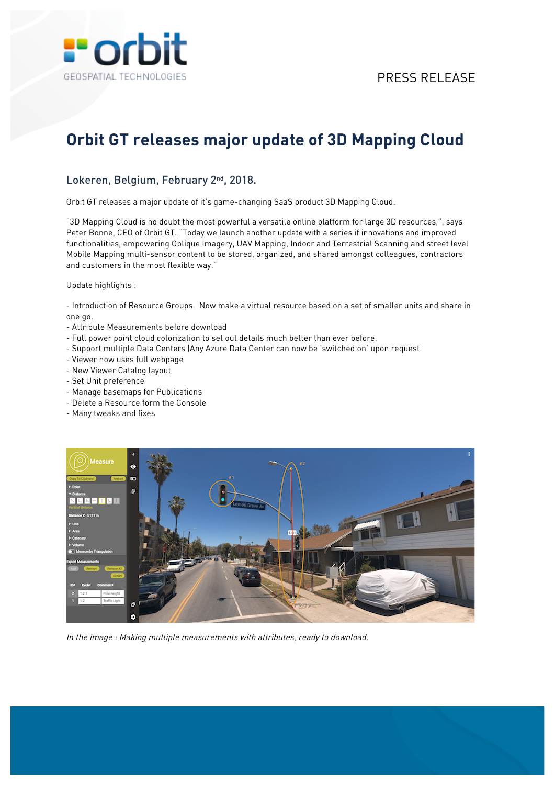

## **Orbit GT releases major update of 3D Mapping Cloud**

## Lokeren, Belgium, February 2<sup>nd</sup>, 2018.

Orbit GT releases a major update of it's game-changing SaaS product 3D Mapping Cloud.

"3D Mapping Cloud is no doubt the most powerful a versatile online platform for large 3D resources,", says Peter Bonne, CEO of Orbit GT. "Today we launch another update with a series if innovations and improved functionalities, empowering Oblique Imagery, UAV Mapping, Indoor and Terrestrial Scanning and street level Mobile Mapping multi-sensor content to be stored, organized, and shared amongst colleagues, contractors and customers in the most flexible way."

Update highlights :

- Introduction of Resource Groups. Now make a virtual resource based on a set of smaller units and share in one go.

- Attribute Measurements before download
- Full power point cloud colorization to set out details much better than ever before.
- Support multiple Data Centers (Any Azure Data Center can now be 'switched on' upon request.
- Viewer now uses full webpage
- New Viewer Catalog layout
- Set Unit preference
- Manage basemaps for Publications
- Delete a Resource form the Console
- Many tweaks and fixes



In the image : Making multiple measurements with attributes, ready to download.